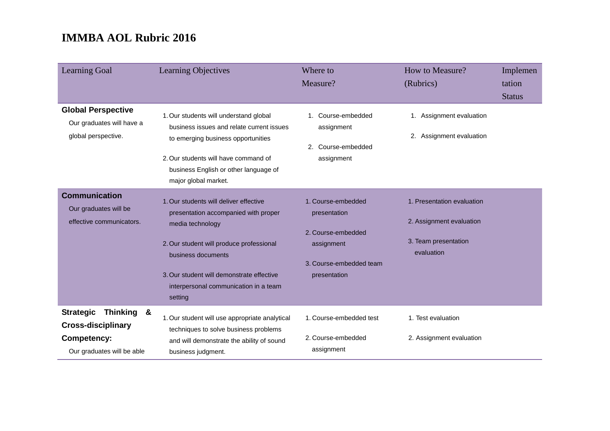| <b>Learning Goal</b>                                                                                            | Learning Objectives                                                                                                                                                                                                                                                   | Where to<br>Measure?                                                                                              | How to Measure?<br>(Rubrics)                                                                 | Implemen<br>tation<br><b>Status</b> |
|-----------------------------------------------------------------------------------------------------------------|-----------------------------------------------------------------------------------------------------------------------------------------------------------------------------------------------------------------------------------------------------------------------|-------------------------------------------------------------------------------------------------------------------|----------------------------------------------------------------------------------------------|-------------------------------------|
| <b>Global Perspective</b><br>Our graduates will have a<br>global perspective.                                   | 1. Our students will understand global<br>business issues and relate current issues<br>to emerging business opportunities<br>2. Our students will have command of<br>business English or other language of<br>major global market.                                    | 1. Course-embedded<br>assignment<br>Course-embedded<br>2.<br>assignment                                           | 1. Assignment evaluation<br>2. Assignment evaluation                                         |                                     |
| <b>Communication</b><br>Our graduates will be<br>effective communicators.                                       | 1. Our students will deliver effective<br>presentation accompanied with proper<br>media technology<br>2. Our student will produce professional<br>business documents<br>3. Our student will demonstrate effective<br>interpersonal communication in a team<br>setting | 1. Course-embedded<br>presentation<br>2. Course-embedded<br>assignment<br>3. Course-embedded team<br>presentation | 1. Presentation evaluation<br>2. Assignment evaluation<br>3. Team presentation<br>evaluation |                                     |
| <b>Strategic</b><br>Thinking &<br><b>Cross-disciplinary</b><br><b>Competency:</b><br>Our graduates will be able | 1. Our student will use appropriate analytical<br>techniques to solve business problems<br>and will demonstrate the ability of sound<br>business judgment.                                                                                                            | 1. Course-embedded test<br>2. Course-embedded<br>assignment                                                       | 1. Test evaluation<br>2. Assignment evaluation                                               |                                     |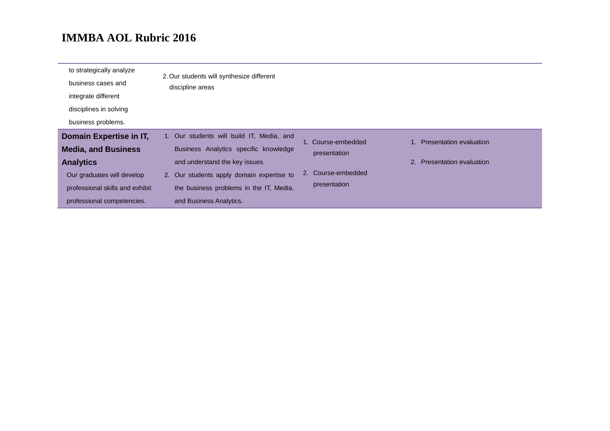| to strategically analyze<br>business cases and<br>integrate different<br>disciplines in solving<br>business problems.                                                    | 2. Our students will synthesize different<br>discipline areas                                                                                                                                                                           |                                                                          |                                                          |
|--------------------------------------------------------------------------------------------------------------------------------------------------------------------------|-----------------------------------------------------------------------------------------------------------------------------------------------------------------------------------------------------------------------------------------|--------------------------------------------------------------------------|----------------------------------------------------------|
| Domain Expertise in IT,<br><b>Media, and Business</b><br><b>Analytics</b><br>Our graduates will develop<br>professional skills and exhibit<br>professional competencies. | 1. Our students will build IT, Media, and<br>Business Analytics specific knowledge<br>and understand the key issues.<br>2. Our students apply domain expertise to<br>the business problems in the IT, Media,<br>and Business Analytics. | 1. Course-embedded<br>presentation<br>2. Course-embedded<br>presentation | 1. Presentation evaluation<br>2. Presentation evaluation |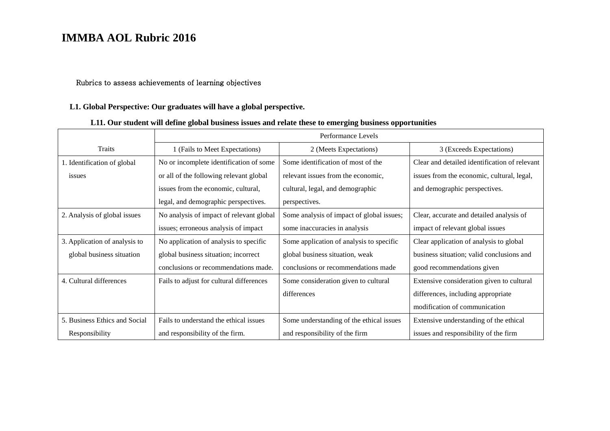#### Rubrics to assess achievements of learning objectives

#### **L1. Global Perspective: Our graduates will have a global perspective.**

### **L11. Our student will define global business issues and relate these to emerging business opportunities**

|                               | Performance Levels                       |                                           |                                               |
|-------------------------------|------------------------------------------|-------------------------------------------|-----------------------------------------------|
| Traits                        | 1 (Fails to Meet Expectations)           | 2 (Meets Expectations)                    | 3 (Exceeds Expectations)                      |
| 1. Identification of global   | No or incomplete identification of some  | Some identification of most of the        | Clear and detailed identification of relevant |
| issues                        | or all of the following relevant global  | relevant issues from the economic,        | issues from the economic, cultural, legal,    |
|                               | issues from the economic, cultural,      | cultural, legal, and demographic          | and demographic perspectives.                 |
|                               | legal, and demographic perspectives.     | perspectives.                             |                                               |
| 2. Analysis of global issues  | No analysis of impact of relevant global | Some analysis of impact of global issues; | Clear, accurate and detailed analysis of      |
|                               | issues; erroneous analysis of impact     | some inaccuracies in analysis             | impact of relevant global issues              |
| 3. Application of analysis to | No application of analysis to specific   | Some application of analysis to specific  | Clear application of analysis to global       |
| global business situation     | global business situation; incorrect     | global business situation, weak           | business situation; valid conclusions and     |
|                               | conclusions or recommendations made.     | conclusions or recommendations made       | good recommendations given                    |
| 4. Cultural differences       | Fails to adjust for cultural differences | Some consideration given to cultural      | Extensive consideration given to cultural     |
|                               |                                          | differences                               | differences, including appropriate            |
|                               |                                          |                                           | modification of communication                 |
| 5. Business Ethics and Social | Fails to understand the ethical issues   | Some understanding of the ethical issues  | Extensive understanding of the ethical        |
| Responsibility                | and responsibility of the firm.          | and responsibility of the firm            | issues and responsibility of the firm         |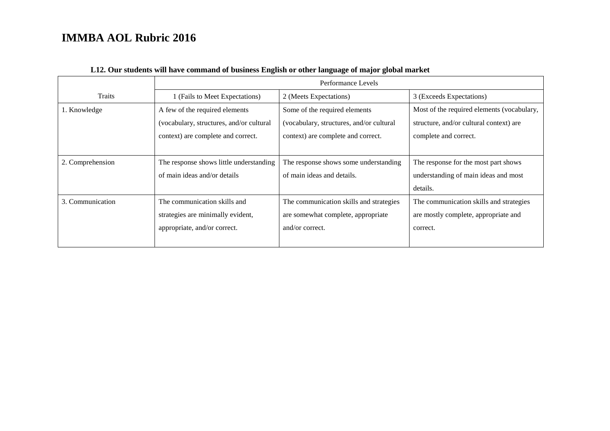|                  | Performance Levels                       |                                          |                                            |  |
|------------------|------------------------------------------|------------------------------------------|--------------------------------------------|--|
| Traits           | 1 (Fails to Meet Expectations)           | 2 (Meets Expectations)                   | 3 (Exceeds Expectations)                   |  |
| 1. Knowledge     | A few of the required elements           | Some of the required elements            | Most of the required elements (vocabulary, |  |
|                  | (vocabulary, structures, and/or cultural | (vocabulary, structures, and/or cultural | structure, and/or cultural context) are    |  |
|                  | context) are complete and correct.       | context) are complete and correct.       | complete and correct.                      |  |
|                  |                                          |                                          |                                            |  |
| 2. Comprehension | The response shows little understanding  | The response shows some understanding    | The response for the most part shows       |  |
|                  | of main ideas and/or details             | of main ideas and details.               | understanding of main ideas and most       |  |
|                  |                                          |                                          | details.                                   |  |
| 3. Communication | The communication skills and             | The communication skills and strategies  | The communication skills and strategies    |  |
|                  | strategies are minimally evident,        | are somewhat complete, appropriate       | are mostly complete, appropriate and       |  |
|                  | appropriate, and/or correct.             | and/or correct.                          | correct.                                   |  |
|                  |                                          |                                          |                                            |  |

### **L12. Our students will have command of business English or other language of major global market**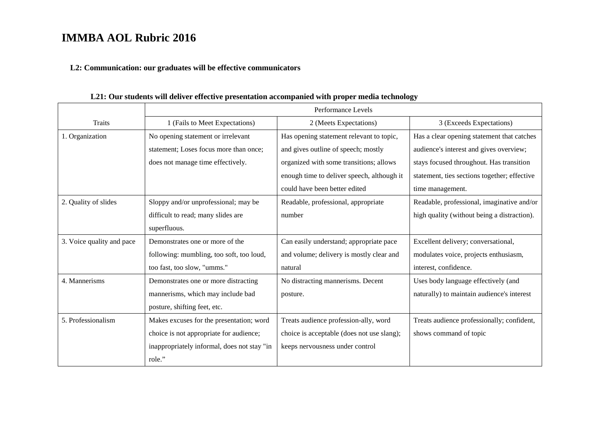#### **L2: Communication: our graduates will be effective communicators**

**Traits** Performance Levels 1 (Fails to Meet Expectations) 2 (Meets Expectations) 3 (Exceeds Expectations) 1. Organization No opening statement or irrelevant statement; Loses focus more than once; does not manage time effectively. Has opening statement relevant to topic, and gives outline of speech; mostly organized with some transitions; allows enough time to deliver speech, although it could have been better edited Has a clear opening statement that catches audience's interest and gives overview; stays focused throughout. Has transition statement, ties sections together; effective time management. 2. Quality of slides Sloppy and/or unprofessional; may be difficult to read; many slides are superfluous. Readable, professional, appropriate number Readable, professional, imaginative and/or high quality (without being a distraction). 3. Voice quality and pace Demonstrates one or more of the following: mumbling, too soft, too loud, too fast, too slow, "umms." Can easily understand; appropriate pace and volume; delivery is mostly clear and natural Excellent delivery; conversational, modulates voice, projects enthusiasm, interest, confidence. 4. Mannerisms Demonstrates one or more distracting mannerisms, which may include bad posture, shifting feet, etc. No distracting mannerisms. Decent posture. Uses body language effectively (and naturally) to maintain audience's interest 5. Professionalism Makes excuses for the presentation; word choice is not appropriate for audience; inappropriately informal, does not stay "in role." Treats audience profession-ally, word choice is acceptable (does not use slang); keeps nervousness under control Treats audience professionally; confident, shows command of topic

#### **L21: Our students will deliver effective presentation accompanied with proper media technology**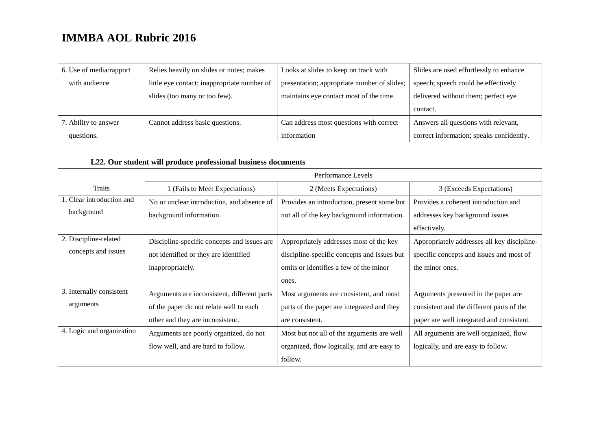| 6. Use of media/rapport | Relies heavily on slides or notes; makes    | Looks at slides to keep on track with       | Slides are used effortlessly to enhance  |
|-------------------------|---------------------------------------------|---------------------------------------------|------------------------------------------|
| with audience           | little eye contact; inappropriate number of | presentation; appropriate number of slides; | speech; speech could be effectively      |
|                         | slides (too many or too few).               | maintains eye contact most of the time.     | delivered without them; perfect eye      |
|                         |                                             |                                             | contact.                                 |
| 7. Ability to answer    | Cannot address basic questions.             | Can address most questions with correct     | Answers all questions with relevant,     |
| questions.              |                                             | information                                 | correct information; speaks confidently. |

### **L22. Our student will produce professional business documents**

|                           | Performance Levels                          |                                             |                                             |  |
|---------------------------|---------------------------------------------|---------------------------------------------|---------------------------------------------|--|
| <b>Traits</b>             | 1 (Fails to Meet Expectations)              | 2 (Meets Expectations)                      | 3 (Exceeds Expectations)                    |  |
| 1. Clear introduction and | No or unclear introduction, and absence of  | Provides an introduction, present some but  | Provides a coherent introduction and        |  |
| background                | background information.                     | not all of the key background information.  | addresses key background issues             |  |
|                           |                                             |                                             | effectively.                                |  |
| 2. Discipline-related     | Discipline-specific concepts and issues are | Appropriately addresses most of the key     | Appropriately addresses all key discipline- |  |
| concepts and issues       | not identified or they are identified       | discipline-specific concepts and issues but | specific concepts and issues and most of    |  |
|                           | inappropriately.                            | omits or identifies a few of the minor      | the minor ones.                             |  |
|                           |                                             | ones.                                       |                                             |  |
| 3. Internally consistent  | Arguments are inconsistent, different parts | Most arguments are consistent, and most     | Arguments presented in the paper are        |  |
| arguments                 | of the paper do not relate well to each     | parts of the paper are integrated and they  | consistent and the different parts of the   |  |
|                           | other and they are inconsistent.            | are consistent.                             | paper are well integrated and consistent.   |  |
| 4. Logic and organization | Arguments are poorly organized, do not      | Most but not all of the arguments are well  | All arguments are well organized, flow      |  |
|                           | flow well, and are hard to follow.          | organized, flow logically, and are easy to  | logically, and are easy to follow.          |  |
|                           |                                             | follow.                                     |                                             |  |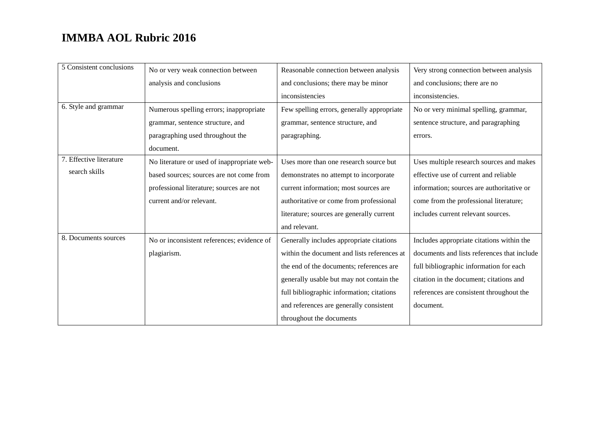| 5 Consistent conclusions | No or very weak connection between          | Reasonable connection between analysis      | Very strong connection between analysis     |
|--------------------------|---------------------------------------------|---------------------------------------------|---------------------------------------------|
|                          | analysis and conclusions                    | and conclusions; there may be minor         | and conclusions; there are no               |
|                          |                                             | inconsistencies                             | inconsistencies.                            |
| 6. Style and grammar     | Numerous spelling errors; inappropriate     | Few spelling errors, generally appropriate  | No or very minimal spelling, grammar,       |
|                          | grammar, sentence structure, and            | grammar, sentence structure, and            | sentence structure, and paragraphing        |
|                          | paragraphing used throughout the            | paragraphing.                               | errors.                                     |
|                          | document.                                   |                                             |                                             |
| 7. Effective literature  | No literature or used of inappropriate web- | Uses more than one research source but      | Uses multiple research sources and makes    |
| search skills            | based sources; sources are not come from    | demonstrates no attempt to incorporate      | effective use of current and reliable       |
|                          | professional literature; sources are not    | current information; most sources are       | information; sources are authoritative or   |
|                          | current and/or relevant.                    | authoritative or come from professional     | come from the professional literature;      |
|                          |                                             | literature; sources are generally current   | includes current relevant sources.          |
|                          |                                             | and relevant.                               |                                             |
| 8. Documents sources     | No or inconsistent references; evidence of  | Generally includes appropriate citations    | Includes appropriate citations within the   |
|                          | plagiarism.                                 | within the document and lists references at | documents and lists references that include |
|                          |                                             | the end of the documents; references are    | full bibliographic information for each     |
|                          |                                             | generally usable but may not contain the    | citation in the document; citations and     |
|                          |                                             | full bibliographic information; citations   | references are consistent throughout the    |
|                          |                                             | and references are generally consistent     | document.                                   |
|                          |                                             | throughout the documents                    |                                             |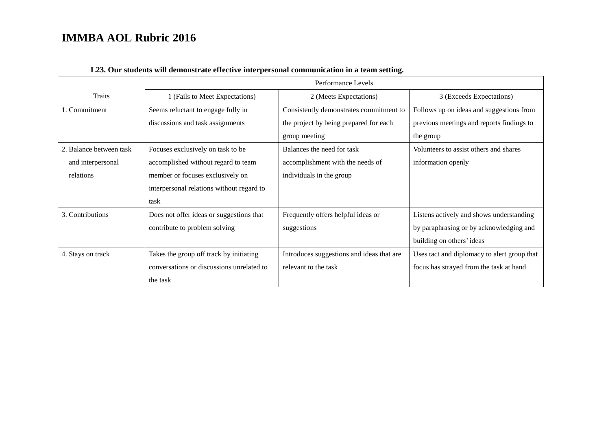|                         | Performance Levels                        |                                           |                                             |
|-------------------------|-------------------------------------------|-------------------------------------------|---------------------------------------------|
| Traits                  | 1 (Fails to Meet Expectations)            | 2 (Meets Expectations)                    | 3 (Exceeds Expectations)                    |
| 1. Commitment           | Seems reluctant to engage fully in        | Consistently demonstrates commitment to   | Follows up on ideas and suggestions from    |
|                         | discussions and task assignments          | the project by being prepared for each    | previous meetings and reports findings to   |
|                         |                                           | group meeting                             | the group                                   |
| 2. Balance between task | Focuses exclusively on task to be         | Balances the need for task                | Volunteers to assist others and shares      |
| and interpersonal       | accomplished without regard to team       | accomplishment with the needs of          | information openly                          |
| relations               | member or focuses exclusively on          | individuals in the group                  |                                             |
|                         | interpersonal relations without regard to |                                           |                                             |
|                         | task                                      |                                           |                                             |
| 3. Contributions        | Does not offer ideas or suggestions that  | Frequently offers helpful ideas or        | Listens actively and shows understanding    |
|                         | contribute to problem solving             | suggestions                               | by paraphrasing or by acknowledging and     |
|                         |                                           |                                           | building on others' ideas                   |
| 4. Stays on track       | Takes the group off track by initiating   | Introduces suggestions and ideas that are | Uses tact and diplomacy to alert group that |
|                         | conversations or discussions unrelated to | relevant to the task                      | focus has strayed from the task at hand     |
|                         | the task                                  |                                           |                                             |

### **L23. Our students will demonstrate effective interpersonal communication in a team setting.**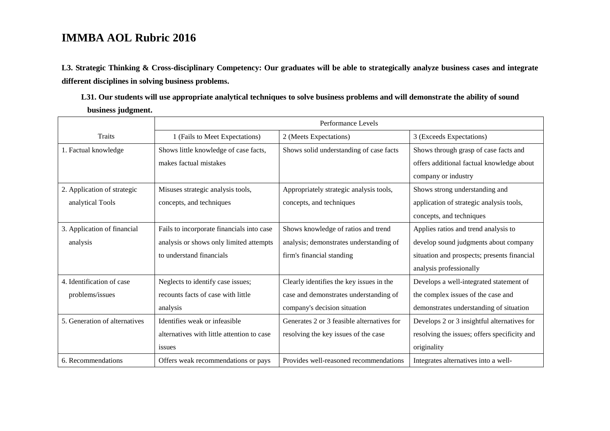**L3. Strategic Thinking & Cross-disciplinary Competency: Our graduates will be able to strategically analyze business cases and integrate different disciplines in solving business problems.** 

**L31. Our students will use appropriate analytical techniques to solve business problems and will demonstrate the ability of sound business judgment.**

|                               | Performance Levels                         |                                            |                                              |
|-------------------------------|--------------------------------------------|--------------------------------------------|----------------------------------------------|
| <b>Traits</b>                 | 1 (Fails to Meet Expectations)             | 2 (Meets Expectations)                     | 3 (Exceeds Expectations)                     |
| 1. Factual knowledge          | Shows little knowledge of case facts,      | Shows solid understanding of case facts    | Shows through grasp of case facts and        |
|                               | makes factual mistakes                     |                                            | offers additional factual knowledge about    |
|                               |                                            |                                            | company or industry                          |
| 2. Application of strategic   | Misuses strategic analysis tools,          | Appropriately strategic analysis tools,    | Shows strong understanding and               |
| analytical Tools              | concepts, and techniques                   | concepts, and techniques                   | application of strategic analysis tools,     |
|                               |                                            |                                            | concepts, and techniques                     |
| 3. Application of financial   | Fails to incorporate financials into case  | Shows knowledge of ratios and trend        | Applies ratios and trend analysis to         |
| analysis                      | analysis or shows only limited attempts    | analysis; demonstrates understanding of    | develop sound judgments about company        |
|                               | to understand financials                   | firm's financial standing                  | situation and prospects; presents financial  |
|                               |                                            |                                            | analysis professionally                      |
| 4. Identification of case     | Neglects to identify case issues;          | Clearly identifies the key issues in the   | Develops a well-integrated statement of      |
| problems/issues               | recounts facts of case with little         | case and demonstrates understanding of     | the complex issues of the case and           |
|                               | analysis                                   | company's decision situation               | demonstrates understanding of situation      |
| 5. Generation of alternatives | Identifies weak or infeasible.             | Generates 2 or 3 feasible alternatives for | Develops 2 or 3 insightful alternatives for  |
|                               | alternatives with little attention to case | resolving the key issues of the case       | resolving the issues; offers specificity and |
|                               | issues                                     |                                            | originality                                  |
| 6. Recommendations            | Offers weak recommendations or pays        | Provides well-reasoned recommendations     | Integrates alternatives into a well-         |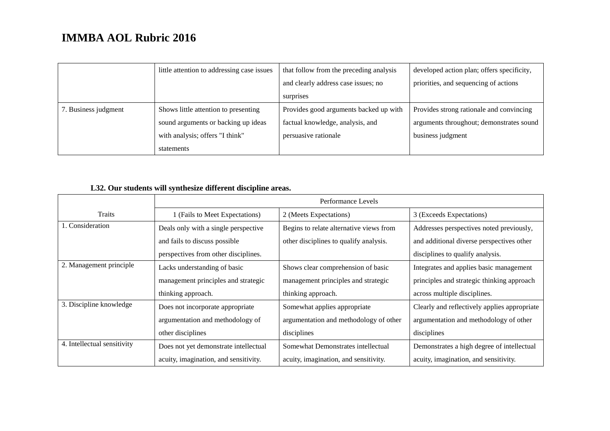|                      | little attention to addressing case issues | that follow from the preceding analysis | developed action plan; offers specificity, |
|----------------------|--------------------------------------------|-----------------------------------------|--------------------------------------------|
|                      |                                            | and clearly address case issues; no     | priorities, and sequencing of actions      |
|                      |                                            | surprises                               |                                            |
| 7. Business judgment | Shows little attention to presenting       | Provides good arguments backed up with  | Provides strong rationale and convincing   |
|                      | sound arguments or backing up ideas        | factual knowledge, analysis, and        | arguments throughout; demonstrates sound   |
|                      | with analysis; offers "I think"            | persuasive rationale                    | business judgment                          |
|                      | statements                                 |                                         |                                            |

## **L32. Our students will synthesize different discipline areas.**

|                             | Performance Levels                    |                                         |                                              |  |
|-----------------------------|---------------------------------------|-----------------------------------------|----------------------------------------------|--|
| <b>Traits</b>               | 1 (Fails to Meet Expectations)        | 2 (Meets Expectations)                  | 3 (Exceeds Expectations)                     |  |
| 1. Consideration            | Deals only with a single perspective  | Begins to relate alternative views from | Addresses perspectives noted previously,     |  |
|                             | and fails to discuss possible         | other disciplines to qualify analysis.  | and additional diverse perspectives other    |  |
|                             | perspectives from other disciplines.  |                                         | disciplines to qualify analysis.             |  |
| 2. Management principle     | Lacks understanding of basic          | Shows clear comprehension of basic      | Integrates and applies basic management      |  |
|                             | management principles and strategic   | management principles and strategic     | principles and strategic thinking approach   |  |
|                             | thinking approach.                    | thinking approach.                      | across multiple disciplines.                 |  |
| 3. Discipline knowledge     | Does not incorporate appropriate      | Somewhat applies appropriate            | Clearly and reflectively applies appropriate |  |
|                             | argumentation and methodology of      | argumentation and methodology of other  | argumentation and methodology of other       |  |
|                             | other disciplines                     | disciplines                             | disciplines                                  |  |
| 4. Intellectual sensitivity | Does not yet demonstrate intellectual | Somewhat Demonstrates intellectual      | Demonstrates a high degree of intellectual   |  |
|                             | acuity, imagination, and sensitivity. | acuity, imagination, and sensitivity.   | acuity, imagination, and sensitivity.        |  |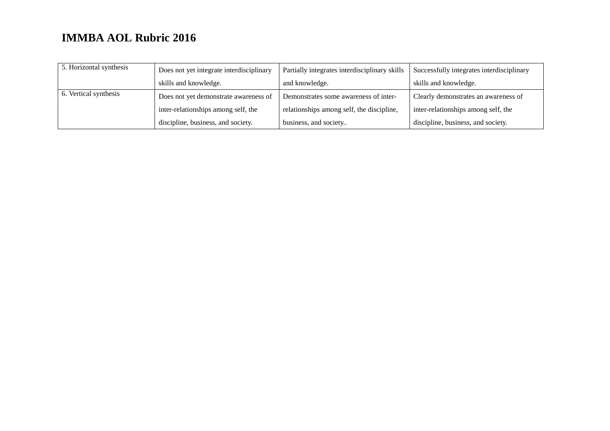| 5. Horizontal synthesis | Does not yet integrate interdisciplinary | Partially integrates interdisciplinary skills | Successfully integrates interdisciplinary |
|-------------------------|------------------------------------------|-----------------------------------------------|-------------------------------------------|
|                         | skills and knowledge.                    | and knowledge.                                | skills and knowledge.                     |
| 6. Vertical synthesis   | Does not yet demonstrate awareness of    | Demonstrates some awareness of inter-         | Clearly demonstrates an awareness of      |
|                         | inter-relationships among self, the      | relationships among self, the discipline,     | inter-relationships among self, the       |
|                         | discipline, business, and society.       | business, and society                         | discipline, business, and society.        |